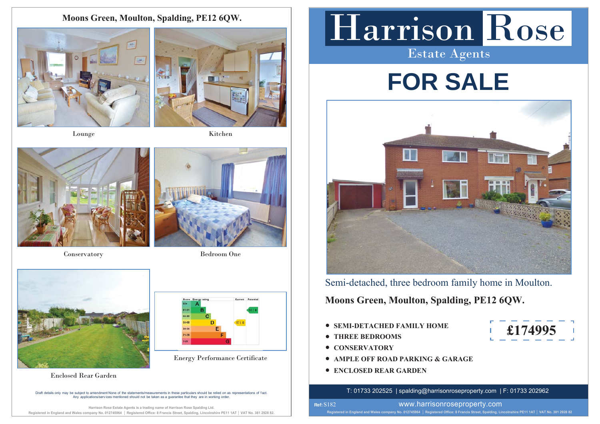**Moons Green, Moulton, Spalding, PE12 6QW.**





Lounge Kitchen



Conservatory Bedroom One





Enclosed Rear Garden

Draft details only may be subiect to amendment None of the statements/measurements in these particulars should be relied on as representations of fact. A DURING AND DISSOLVITION CONSIDERED IN THE CONSIDERATION OF DETAILS AND A DISPONSIBLE STATES OF LIGHT DUPLAR<br>Any applications/services mentioned should not be taken as a quarantee that they are in working order

**Harrison Rose Estate Agents is a trading name of Harrison Rose Spalding Ltd.** Registered in England and Wales company No. 012745964 | Registered Office: 8 Francis Street, Spalding, Lincolnshire PE11 1AT | VAT No. 381 2928 82

# Harrison Rose

Estate Agents

# **FOR SALE**



Semi-detached, three bedroom family home in Moulton.

**Moons Green, Moulton, Spalding, PE12 6QW.**

- **SEMI-DETACHED FAMILY HOME**
- **THREE BEDROOMS**
- **CONSERVATORY**

**Ref:**  S182

- **Energy Performance Certificate AMPLE OFF ROAD PARKING & GARAGE** 
	- **ENCLOSED REAR GARDEN**

T: 01733 202525 | spalding@harrisonroseproperty.com | F: 01733 202962

**£174995**



www.harrisonroseproperty.com

Registered in England and Wales company No. 012745964 | Registered Office: 8 Francis Street, Spalding, Lincolnshire PE11 1AT | VAT No. 381 2928 82



- 
-